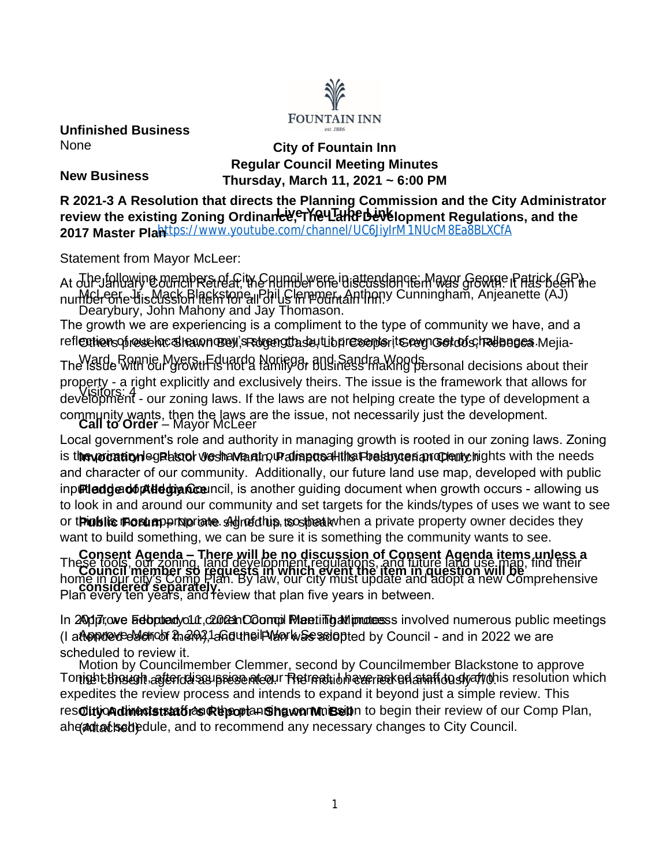

**Unfinished Business** None

# **City of Fountain Inn Regular Council Meeting Minutes Thursday, March 11, 2021 ~ 6:00 PM**

**New Business**

review the existing Zoning Ordinance የተሸ<del>ፀ</del>Ⴁ፲<del>ዛ $\overline{\mathrm{Re}}$ </del> Development Regulations, and the 2017 Master Pla<mark>nttps://www.youtube.com/channel/UC6JiyIrM1NUcM8Ea8BLXCfA</mark> **R 2021-3 A Resolution that directs the Planning Commission and the City Administrator** 

Statement from Mayor McLeer:

At ਹਮੇਦ)ਬੀਓਆਂ। ਉੱਪਰਿਆਂ ਇੱਕ ਇੱਕ ਇਹ ਕਿਸੇ ਹੋਇਆ ਹੈ। ਇਸ ਦਾ ਪਾਰਟੀਕਾ ਸਿੰਘ ਅਤੇ ਸਿੰਘ ਅਤੇ ਅਤੇ ਅਤੇ ਅਤੇ ਅਤੇ ਅਤੇ ਅਤੇ ਅਤੇ ਅਤ McLeer, Jr., Mack Blackstone, Phil Clemmer, Anthony Cunningham, Anjeanette (AJ) Dearybury, John Mahony and Jay Thomason. number one discussion item for all of us in Fountain Inn.

refl**entiensofresselne Strenn orben, sretgengtha se**ut Lib**pre sente**rit **Srevg Gortod s, trelb b ge a** Mejia-The growth we are experiencing is a compliment to the type of community we have, and a

Ward, Ronnie Myers, Eduardo Noriega, and Sandra Woods The issue with our growth is not a family or business making personal decisions about their Visitors: 4 development - our zoning laws. If the laws are not helping create the type of development a **Call to Order** – Mayor McLeer property - a right explicitly and exclusively theirs. The issue is the framework that allows for community wants, then the laws are the issue, not necessarily just the development.

is t**he yoration eg also by esha Vaatro (Palmetto Hills Presbyterian Cheurchights with the needs** inp**吧ledged6体degiance**uncil, is another guiding document when growth occurs - allowing us or t**Pinblic Fosum** perdpriate shighed this, to sthe a kwhen a private property owner decides they Local government's role and authority in managing growth is rooted in our zoning laws. Zoning and character of our community. Additionally, our future land use map, developed with public to look in and around our community and set targets for the kinds/types of uses we want to see want to build something, we can be sure it is something the community wants to see.

**Consent Agenda – There will be no discussion of Consent Agenda items unless a Council member so requests in which event the item in question will be**  These tools, our zoning, land development regulations, and future land use map, find their **considered separately.** Plan every ten years, and review that plan five years in between. home in our city's Comp Plan. By law, our city must update and adopt a new Comprehensive

In 240dp7. owe bedoptte dyour, c2002th Coompil Meneting all producess involved numerous public meetings (I a**ftendeveeblenoof t<sub>h</sub>em),1anduneiPlen was soiop**ted by Council - and in 2022 we are scheduled to review it.

Motion by Councilmember Clemmer, second by Councilmember Blackstone to approve Tonight the ight agterid as presented. The math on ever resked an infourimous resolution which **City Administrator's Report – Shawn M. Bell** resolution directs staff and the planning commission to begin their review of our Comp Plan, ahe@attached)edule, and to recommend any necessary changes to City Council. expedites the review process and intends to expand it beyond just a simple review. This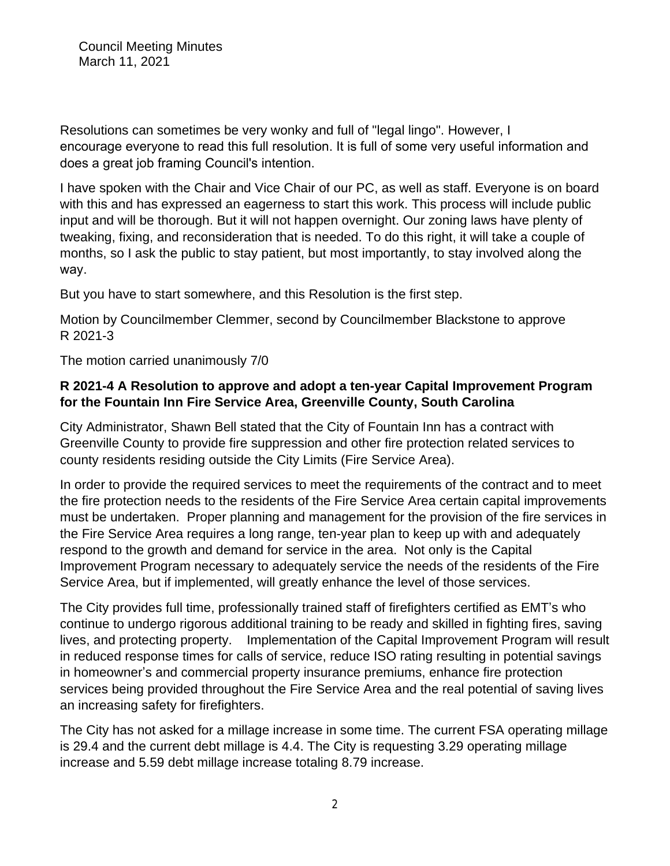Resolutions can sometimes be very wonky and full of "legal lingo". However, I encourage everyone to read this full resolution. It is full of some very useful information and does a great job framing Council's intention.

I have spoken with the Chair and Vice Chair of our PC, as well as staff. Everyone is on board with this and has expressed an eagerness to start this work. This process will include public input and will be thorough. But it will not happen overnight. Our zoning laws have plenty of tweaking, fixing, and reconsideration that is needed. To do this right, it will take a couple of months, so I ask the public to stay patient, but most importantly, to stay involved along the way.

But you have to start somewhere, and this Resolution is the first step.

Motion by Councilmember Clemmer, second by Councilmember Blackstone to approve R 2021-3

The motion carried unanimously 7/0

### **R 2021-4 A Resolution to approve and adopt a ten-year Capital Improvement Program for the Fountain Inn Fire Service Area, Greenville County, South Carolina**

City Administrator, Shawn Bell stated that the City of Fountain Inn has a contract with Greenville County to provide fire suppression and other fire protection related services to county residents residing outside the City Limits (Fire Service Area).

In order to provide the required services to meet the requirements of the contract and to meet the fire protection needs to the residents of the Fire Service Area certain capital improvements must be undertaken. Proper planning and management for the provision of the fire services in the Fire Service Area requires a long range, ten-year plan to keep up with and adequately respond to the growth and demand for service in the area. Not only is the Capital Improvement Program necessary to adequately service the needs of the residents of the Fire Service Area, but if implemented, will greatly enhance the level of those services.

The City provides full time, professionally trained staff of firefighters certified as EMT's who continue to undergo rigorous additional training to be ready and skilled in fighting fires, saving lives, and protecting property. Implementation of the Capital Improvement Program will result in reduced response times for calls of service, reduce ISO rating resulting in potential savings in homeowner's and commercial property insurance premiums, enhance fire protection services being provided throughout the Fire Service Area and the real potential of saving lives an increasing safety for firefighters.

The City has not asked for a millage increase in some time. The current FSA operating millage is 29.4 and the current debt millage is 4.4. The City is requesting 3.29 operating millage increase and 5.59 debt millage increase totaling 8.79 increase.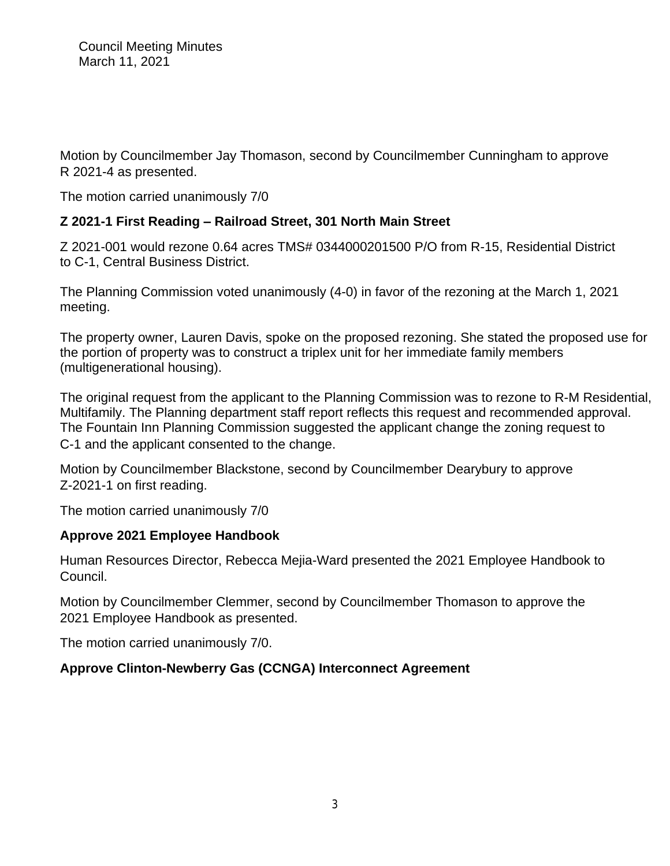Motion by Councilmember Jay Thomason, second by Councilmember Cunningham to approve R 2021-4 as presented.

The motion carried unanimously 7/0

# **Z 2021-1 First Reading – Railroad Street, 301 North Main Street**

Z 2021-001 would rezone 0.64 acres TMS# 0344000201500 P/O from R-15, Residential District to C-1, Central Business District.

The Planning Commission voted unanimously (4-0) in favor of the rezoning at the March 1, 2021 meeting.

The property owner, Lauren Davis, spoke on the proposed rezoning. She stated the proposed use for the portion of property was to construct a triplex unit for her immediate family members (multigenerational housing).

The original request from the applicant to the Planning Commission was to rezone to R-M Residential, Multifamily. The Planning department staff report reflects this request and recommended approval. The Fountain Inn Planning Commission suggested the applicant change the zoning request to C-1 and the applicant consented to the change.

Motion by Councilmember Blackstone, second by Councilmember Dearybury to approve Z-2021-1 on first reading.

The motion carried unanimously 7/0

## **Approve 2021 Employee Handbook**

Human Resources Director, Rebecca Mejia-Ward presented the 2021 Employee Handbook to Council.

Motion by Councilmember Clemmer, second by Councilmember Thomason to approve the 2021 Employee Handbook as presented.

The motion carried unanimously 7/0.

# **Approve Clinton-Newberry Gas (CCNGA) Interconnect Agreement**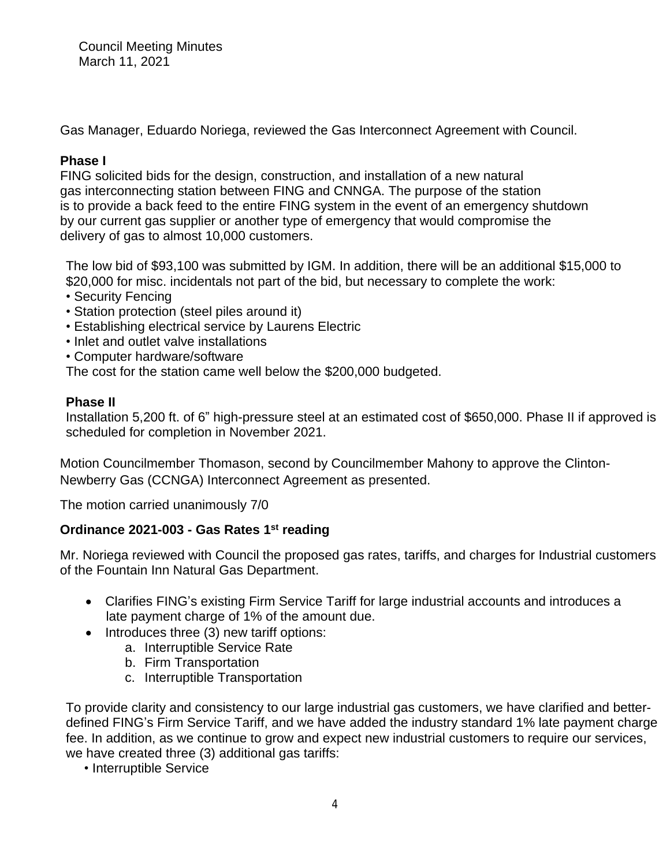Gas Manager, Eduardo Noriega, reviewed the Gas Interconnect Agreement with Council.

## **Phase I**

FING solicited bids for the design, construction, and installation of a new natural gas interconnecting station between FING and CNNGA. The purpose of the station is to provide a back feed to the entire FING system in the event of an emergency shutdown by our current gas supplier or another type of emergency that would compromise the delivery of gas to almost 10,000 customers.

The low bid of \$93,100 was submitted by IGM. In addition, there will be an additional \$15,000 to \$20,000 for misc. incidentals not part of the bid, but necessary to complete the work:

- Security Fencing
- Station protection (steel piles around it)
- Establishing electrical service by Laurens Electric
- Inlet and outlet valve installations
- Computer hardware/software

The cost for the station came well below the \$200,000 budgeted.

### **Phase II**

Installation 5,200 ft. of 6" high-pressure steel at an estimated cost of \$650,000. Phase II if approved is scheduled for completion in November 2021.

Motion Councilmember Thomason, second by Councilmember Mahony to approve the Clinton-Newberry Gas (CCNGA) Interconnect Agreement as presented.

The motion carried unanimously 7/0

## **Ordinance 2021-003 - Gas Rates 1st reading**

Mr. Noriega reviewed with Council the proposed gas rates, tariffs, and charges for Industrial customers of the Fountain Inn Natural Gas Department.

- Clarifies FING's existing Firm Service Tariff for large industrial accounts and introduces a late payment charge of 1% of the amount due.
- Introduces three (3) new tariff options:
	- a. Interruptible Service Rate
	- b. Firm Transportation
	- c. Interruptible Transportation

To provide clarity and consistency to our large industrial gas customers, we have clarified and betterdefined FING's Firm Service Tariff, and we have added the industry standard 1% late payment charge fee. In addition, as we continue to grow and expect new industrial customers to require our services, we have created three (3) additional gas tariffs:

• Interruptible Service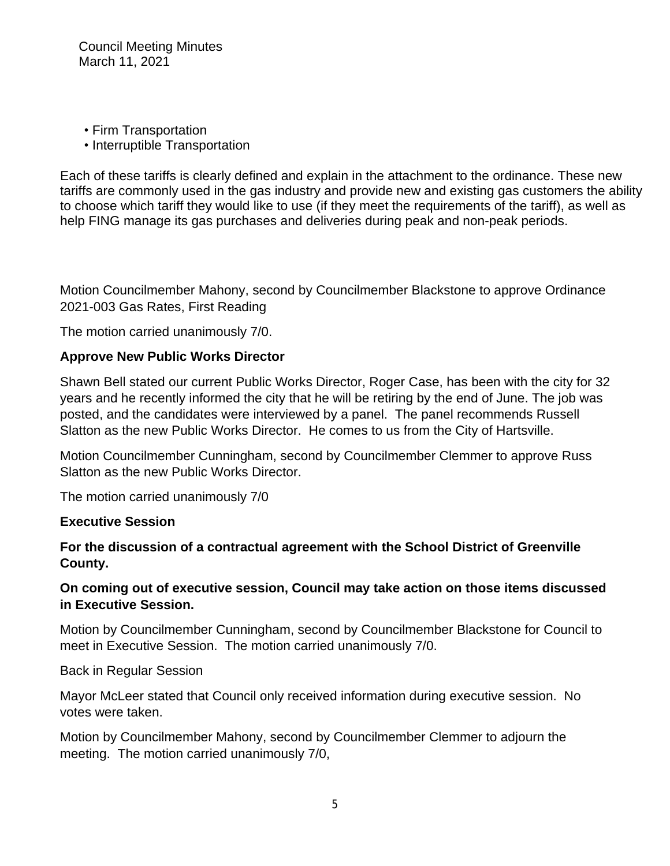- Firm Transportation
- Interruptible Transportation

Each of these tariffs is clearly defined and explain in the attachment to the ordinance. These new tariffs are commonly used in the gas industry and provide new and existing gas customers the ability to choose which tariff they would like to use (if they meet the requirements of the tariff), as well as help FING manage its gas purchases and deliveries during peak and non-peak periods.

Motion Councilmember Mahony, second by Councilmember Blackstone to approve Ordinance 2021-003 Gas Rates, First Reading

The motion carried unanimously 7/0.

#### **Approve New Public Works Director**

Shawn Bell stated our current Public Works Director, Roger Case, has been with the city for 32 years and he recently informed the city that he will be retiring by the end of June. The job was posted, and the candidates were interviewed by a panel. The panel recommends Russell Slatton as the new Public Works Director. He comes to us from the City of Hartsville.

Motion Councilmember Cunningham, second by Councilmember Clemmer to approve Russ Slatton as the new Public Works Director.

The motion carried unanimously 7/0

#### **Executive Session**

**For the discussion of a contractual agreement with the School District of Greenville County.**

### **On coming out of executive session, Council may take action on those items discussed in Executive Session.**

Motion by Councilmember Cunningham, second by Councilmember Blackstone for Council to meet in Executive Session. The motion carried unanimously 7/0.

Back in Regular Session

Mayor McLeer stated that Council only received information during executive session. No votes were taken.

Motion by Councilmember Mahony, second by Councilmember Clemmer to adjourn the meeting. The motion carried unanimously 7/0,